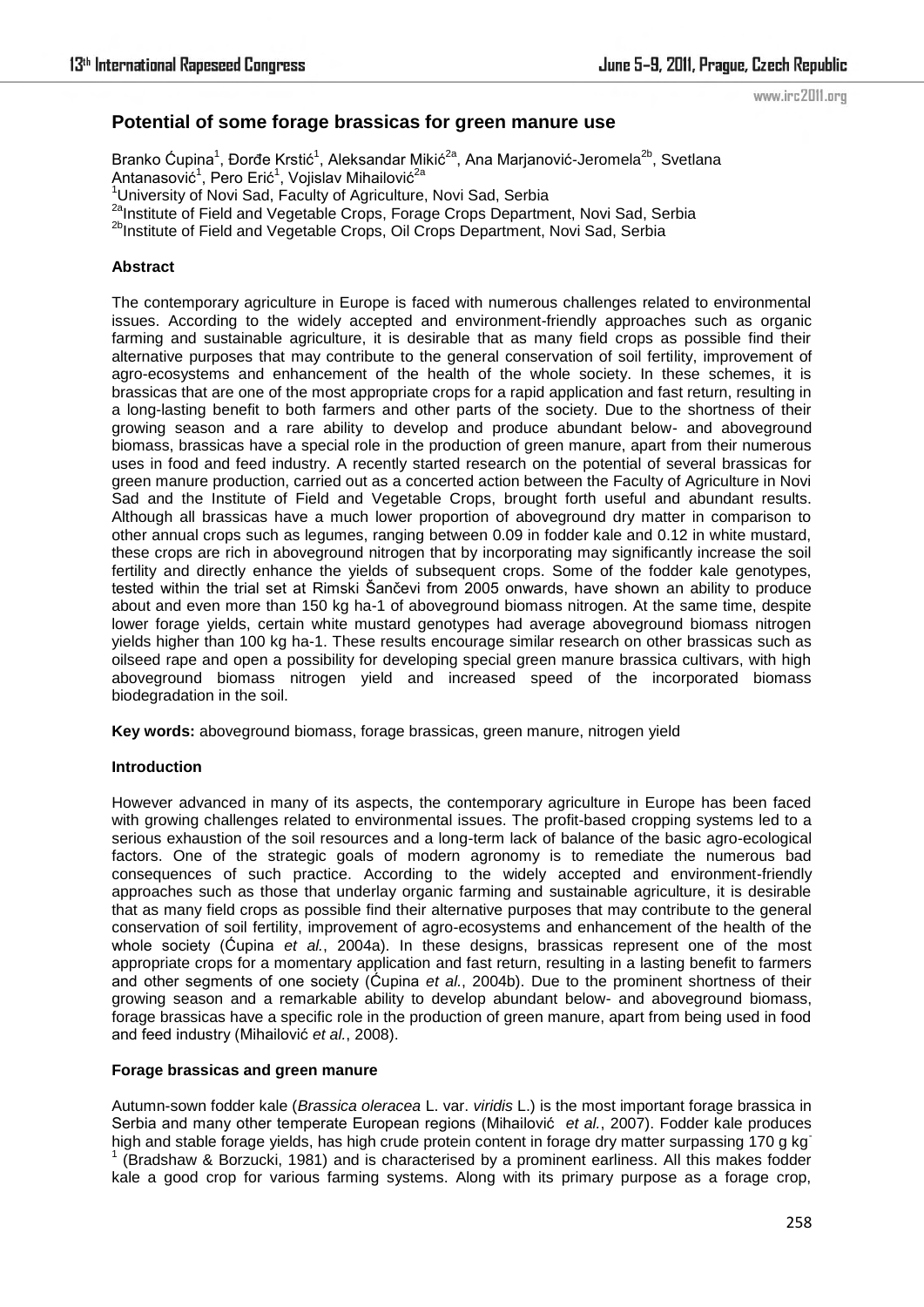# **Potential of some forage brassicas for green manure use**

Branko Ćupina<sup>1</sup>, Đorđe Krstić<sup>1</sup>, Aleksandar Mikić<sup>2a</sup>, Ana Marjanović-Jeromela<sup>2b</sup>, Svetlana Antanasović<sup>1</sup>, Pero Erić<sup>1</sup>, Vojislav Mihailović<sup>2a</sup>

<sup>1</sup> University of Novi Sad, Faculty of Agriculture, Novi Sad, Serbia

<sup>2a</sup>Institute of Field and Vegetable Crops, Forage Crops Department, Novi Sad, Serbia

<sup>2b</sup>Institute of Field and Vegetable Crops, Oil Crops Department, Novi Sad, Serbia

### **Abstract**

The contemporary agriculture in Europe is faced with numerous challenges related to environmental issues. According to the widely accepted and environment-friendly approaches such as organic farming and sustainable agriculture, it is desirable that as many field crops as possible find their alternative purposes that may contribute to the general conservation of soil fertility, improvement of agro-ecosystems and enhancement of the health of the whole society. In these schemes, it is brassicas that are one of the most appropriate crops for a rapid application and fast return, resulting in a long-lasting benefit to both farmers and other parts of the society. Due to the shortness of their growing season and a rare ability to develop and produce abundant below- and aboveground biomass, brassicas have a special role in the production of green manure, apart from their numerous uses in food and feed industry. A recently started research on the potential of several brassicas for green manure production, carried out as a concerted action between the Faculty of Agriculture in Novi Sad and the Institute of Field and Vegetable Crops, brought forth useful and abundant results. Although all brassicas have a much lower proportion of aboveground dry matter in comparison to other annual crops such as legumes, ranging between 0.09 in fodder kale and 0.12 in white mustard, these crops are rich in aboveground nitrogen that by incorporating may significantly increase the soil fertility and directly enhance the yields of subsequent crops. Some of the fodder kale genotypes, tested within the trial set at Rimski Šančevi from 2005 onwards, have shown an ability to produce about and even more than 150 kg ha-1 of aboveground biomass nitrogen. At the same time, despite lower forage yields, certain white mustard genotypes had average aboveground biomass nitrogen yields higher than 100 kg ha-1. These results encourage similar research on other brassicas such as oilseed rape and open a possibility for developing special green manure brassica cultivars, with high aboveground biomass nitrogen yield and increased speed of the incorporated biomass biodegradation in the soil.

**Key words:** aboveground biomass, forage brassicas, green manure, nitrogen yield

### **Introduction**

However advanced in many of its aspects, the contemporary agriculture in Europe has been faced with growing challenges related to environmental issues. The profit-based cropping systems led to a serious exhaustion of the soil resources and a long-term lack of balance of the basic agro-ecological factors. One of the strategic goals of modern agronomy is to remediate the numerous bad consequences of such practice. According to the widely accepted and environment-friendly approaches such as those that underlay organic farming and sustainable agriculture, it is desirable that as many field crops as possible find their alternative purposes that may contribute to the general conservation of soil fertility, improvement of agro-ecosystems and enhancement of the health of the whole society (Ćupina *et al.*, 2004a). In these designs, brassicas represent one of the most appropriate crops for a momentary application and fast return, resulting in a lasting benefit to farmers and other segments of one society (Ćupina *et al.*, 2004b). Due to the prominent shortness of their growing season and a remarkable ability to develop abundant below- and aboveground biomass, forage brassicas have a specific role in the production of green manure, apart from being used in food and feed industry (Mihailović *et al.*, 2008).

## **Forage brassicas and green manure**

Autumn-sown fodder kale (*Brassica oleracea* L. var. *viridis* L.) is the most important forage brassica in Serbia and many other temperate European regions (Mihailović *et al.*, 2007). Fodder kale produces high and stable forage yields, has high crude protein content in forage dry matter surpassing 170 g kg 1

 (Bradshaw & Borzucki, 1981) and is characterised by a prominent earliness. All this makes fodder kale a good crop for various farming systems. Along with its primary purpose as a forage crop,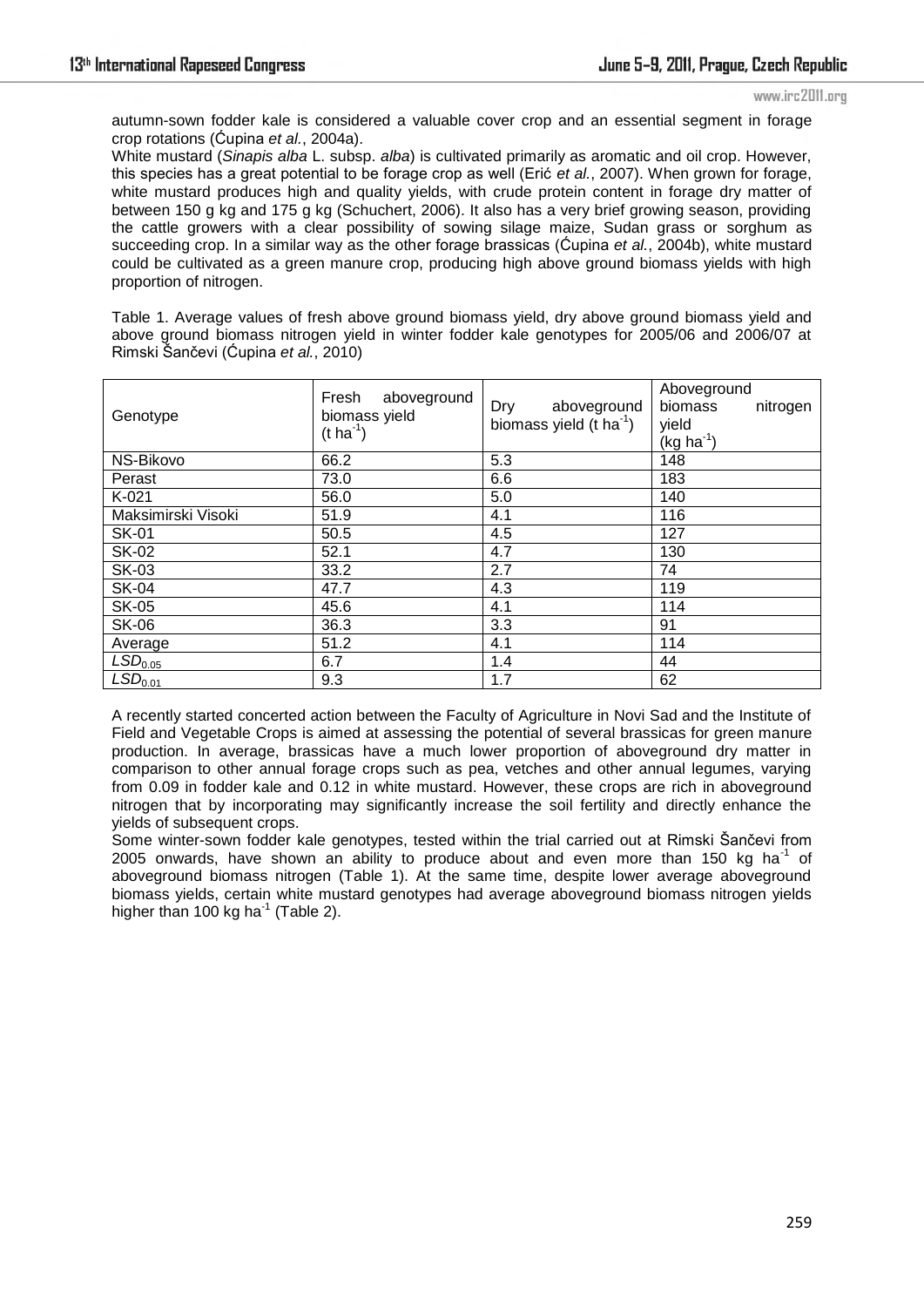autumn-sown fodder kale is considered a valuable cover crop and an essential segment in forage crop rotations (Ćupina *et al.*, 2004a).

White mustard (*Sinapis alba* L. subsp. *alba*) is cultivated primarily as aromatic and oil crop. However, this species has a great potential to be forage crop as well (Erić *et al.*, 2007). When grown for forage, white mustard produces high and quality yields, with crude protein content in forage dry matter of between 150 g kg and 175 g kg (Schuchert, 2006). It also has a very brief growing season, providing the cattle growers with a clear possibility of sowing silage maize, Sudan grass or sorghum as succeeding crop. In a similar way as the other forage brassicas (Ćupina *et al.*, 2004b), white mustard could be cultivated as a green manure crop, producing high above ground biomass yields with high proportion of nitrogen.

Table 1. Average values of fresh above ground biomass yield, dry above ground biomass yield and above ground biomass nitrogen yield in winter fodder kale genotypes for 2005/06 and 2006/07 at Rimski Ńanĉevi (Ćupina *et al.*, 2010)

| Genotype            | Fresh aboveground<br>biomass yield<br>$(t \, ha^{-1})$ | Dry<br>aboveground<br>biomass yield $(t \text{ ha}^{-1})$ | Aboveground<br>biomass<br>nitrogen<br>yield<br>$(kg ha-1)$ |
|---------------------|--------------------------------------------------------|-----------------------------------------------------------|------------------------------------------------------------|
| NS-Bikovo           | 66.2                                                   | 5.3                                                       | 148                                                        |
| Perast              | 73.0                                                   | 6.6                                                       | 183                                                        |
| $K-021$             | 56.0                                                   | 5.0                                                       | 140                                                        |
| Maksimirski Visoki  | 51.9                                                   | 4.1                                                       | 116                                                        |
| <b>SK-01</b>        | 50.5                                                   | 4.5                                                       | 127                                                        |
| <b>SK-02</b>        | 52.1                                                   | 4.7                                                       | 130                                                        |
| <b>SK-03</b>        | 33.2                                                   | 2.7                                                       | 74                                                         |
| <b>SK-04</b>        | 47.7                                                   | 4.3                                                       | 119                                                        |
| <b>SK-05</b>        | 45.6                                                   | 4.1                                                       | 114                                                        |
| <b>SK-06</b>        | 36.3                                                   | 3.3                                                       | 91                                                         |
| Average             | 51.2                                                   | 4.1                                                       | 114                                                        |
| LSD <sub>0.05</sub> | 6.7                                                    | 1.4                                                       | 44                                                         |
| LSD <sub>0.01</sub> | 9.3                                                    | 1.7                                                       | 62                                                         |

A recently started concerted action between the Faculty of Agriculture in Novi Sad and the Institute of Field and Vegetable Crops is aimed at assessing the potential of several brassicas for green manure production. In average, brassicas have a much lower proportion of aboveground dry matter in comparison to other annual forage crops such as pea, vetches and other annual legumes, varying from 0.09 in fodder kale and 0.12 in white mustard. However, these crops are rich in aboveground nitrogen that by incorporating may significantly increase the soil fertility and directly enhance the yields of subsequent crops.

Some winter-sown fodder kale genotypes, tested within the trial carried out at Rimski Šančevi from 2005 onwards, have shown an ability to produce about and even more than 150 kg ha<sup>-1</sup> of aboveground biomass nitrogen (Table 1). At the same time, despite lower average aboveground biomass yields, certain white mustard genotypes had average aboveground biomass nitrogen yields higher than 100 kg ha $^{-1}$  (Table 2).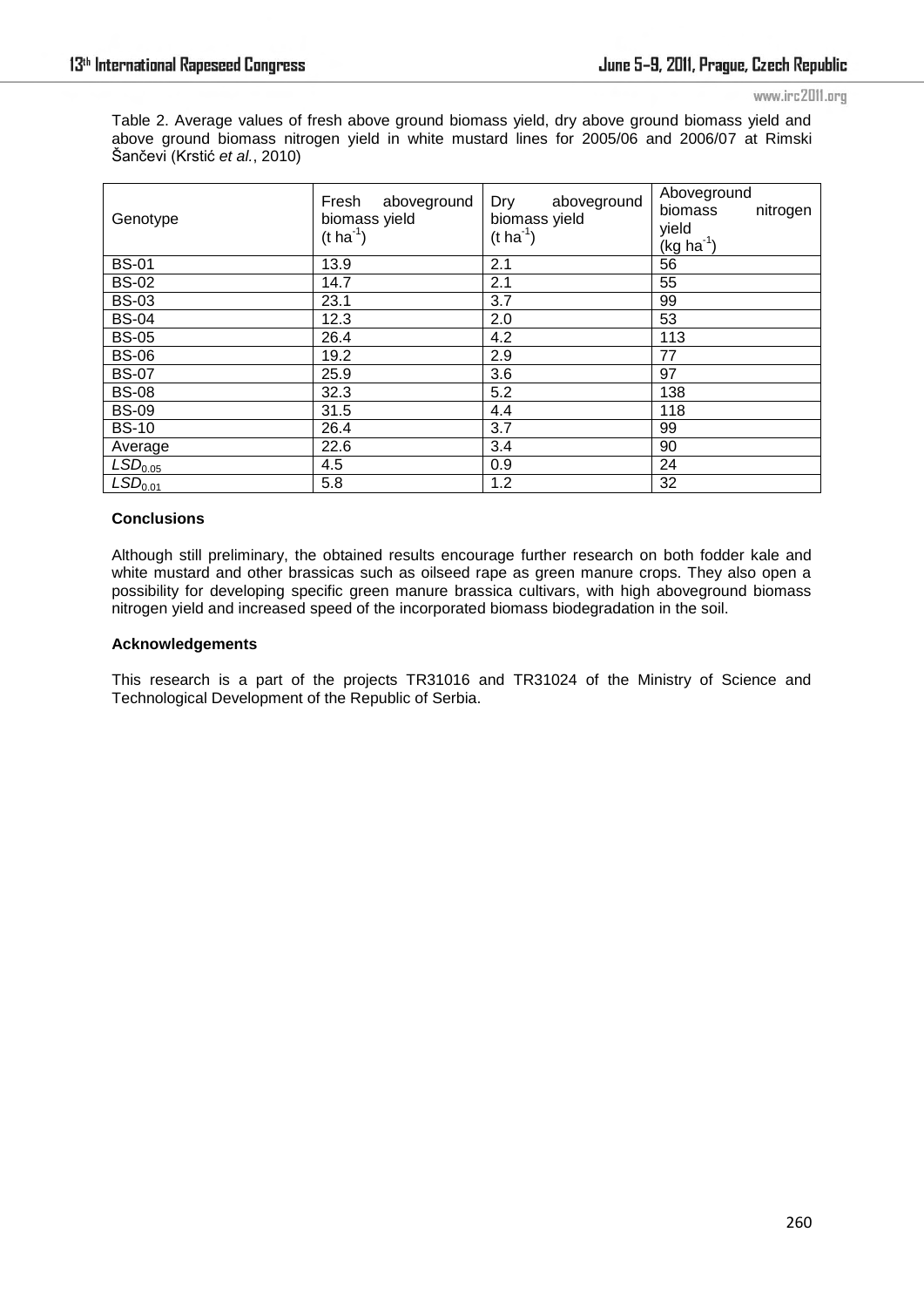Table 2. Average values of fresh above ground biomass yield, dry above ground biomass yield and above ground biomass nitrogen yield in white mustard lines for 2005/06 and 2006/07 at Rimski Šančevi (Krstić *et al.*, 2010)

| Genotype            | Fresh aboveground<br>biomass yield<br>$(t \, ha^{-1})$ | Dry<br>aboveground<br>biomass yield<br>$(t \, ha^{-1})$ | Aboveground<br>biomass<br>nitrogen<br>yield<br>$(kg ha-1)$ |
|---------------------|--------------------------------------------------------|---------------------------------------------------------|------------------------------------------------------------|
| <b>BS-01</b>        | 13.9                                                   | 2.1                                                     | 56                                                         |
| <b>BS-02</b>        | 14.7                                                   | 2.1                                                     | 55                                                         |
| <b>BS-03</b>        | 23.1                                                   | 3.7                                                     | 99                                                         |
| <b>BS-04</b>        | 12.3                                                   | 2.0                                                     | 53                                                         |
| <b>BS-05</b>        | 26.4                                                   | 4.2                                                     | 113                                                        |
| <b>BS-06</b>        | 19.2                                                   | 2.9                                                     | 77                                                         |
| <b>BS-07</b>        | 25.9                                                   | 3.6                                                     | 97                                                         |
| <b>BS-08</b>        | 32.3                                                   | 5.2                                                     | 138                                                        |
| <b>BS-09</b>        | 31.5                                                   | 4.4                                                     | 118                                                        |
| <b>BS-10</b>        | 26.4                                                   | 3.7                                                     | 99                                                         |
| Average             | 22.6                                                   | 3.4                                                     | 90                                                         |
| LSD <sub>0.05</sub> | 4.5                                                    | 0.9                                                     | 24                                                         |
| LSD <sub>0.01</sub> | 5.8                                                    | 1.2                                                     | 32                                                         |

#### **Conclusions**

Although still preliminary, the obtained results encourage further research on both fodder kale and white mustard and other brassicas such as oilseed rape as green manure crops. They also open a possibility for developing specific green manure brassica cultivars, with high aboveground biomass nitrogen yield and increased speed of the incorporated biomass biodegradation in the soil.

#### **Acknowledgements**

This research is a part of the projects TR31016 and TR31024 of the Ministry of Science and Technological Development of the Republic of Serbia.